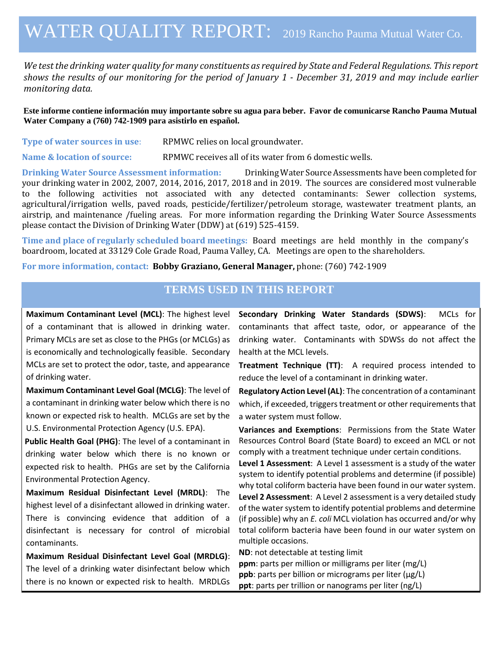# WATER QUALITY REPORT: 2019 Rancho Pauma Mutual Water Co.

*We test the drinking water quality for many constituents as required by State and Federal Regulations. This report shows the results of our monitoring for the period of January 1 - December 31, 2019 and may include earlier monitoring data.*

**Este informe contiene información muy importante sobre su agua para beber. Favor de comunicarse Rancho Pauma Mutual Water Company a (760) 742-1909 para asistirlo en español.**

| Type of water sources in use: | RPMWC relies on local groundwater. |
|-------------------------------|------------------------------------|
|-------------------------------|------------------------------------|

**Name & location of source:** RPMWC receives all of its water from 6 domestic wells.

**Drinking Water Source Assessment information:** Drinking Water Source Assessments have been completed for your drinking water in 2002, 2007, 2014, 2016, 2017, 2018 and in 2019. The sources are considered most vulnerable to the following activities not associated with any detected contaminants: Sewer collection systems, agricultural/irrigation wells, paved roads, pesticide/fertilizer/petroleum storage, wastewater treatment plants, an airstrip, and maintenance /fueling areas. For more information regarding the Drinking Water Source Assessments please contact the Division of Drinking Water (DDW) at (619) 525-4159.

**Time and place of regularly scheduled board meetings:** Board meetings are held monthly in the company's boardroom, located at 33129 Cole Grade Road, Pauma Valley, CA. Meetings are open to the shareholders.

**For more information, contact: Bobby Graziano, General Manager,** phone: (760) 742-1909

### **TERMS USED IN THIS REPORT**

**Maximum Contaminant Level (MCL)**: The highest level of a contaminant that is allowed in drinking water. Primary MCLs are set as close to the PHGs (or MCLGs) as is economically and technologically feasible. Secondary MCLs are set to protect the odor, taste, and appearance of drinking water.

**Maximum Contaminant Level Goal (MCLG)**: The level of a contaminant in drinking water below which there is no known or expected risk to health. MCLGs are set by the U.S. Environmental Protection Agency (U.S. EPA).

**Public Health Goal (PHG)**: The level of a contaminant in drinking water below which there is no known or expected risk to health. PHGs are set by the California Environmental Protection Agency.

**Maximum Residual Disinfectant Level (MRDL)**: The highest level of a disinfectant allowed in drinking water. There is convincing evidence that addition of a disinfectant is necessary for control of microbial contaminants.

**Maximum Residual Disinfectant Level Goal (MRDLG)**: The level of a drinking water disinfectant below which there is no known or expected risk to health. MRDLGs

**Secondary Drinking Water Standards (SDWS)**:MCLs for contaminants that affect taste, odor, or appearance of the drinking water. Contaminants with SDWSs do not affect the health at the MCL levels.

**Treatment Technique (TT)**: A required process intended to reduce the level of a contaminant in drinking water.

**Regulatory Action Level (AL)**: The concentration of a contaminant which, if exceeded, triggers treatment or other requirements that a water system must follow.

**Variances and Exemptions**: Permissions from the State Water Resources Control Board (State Board) to exceed an MCL or not comply with a treatment technique under certain conditions.

**Level 1 Assessment**: A Level 1 assessment is a study of the water system to identify potential problems and determine (if possible) why total coliform bacteria have been found in our water system.

**Level 2 Assessment**: A Level 2 assessment is a very detailed study of the water system to identify potential problems and determine (if possible) why an *E. coli* MCL violation has occurred and/or why total coliform bacteria have been found in our water system on multiple occasions.

**ND**: not detectable at testing limit

**ppm**: parts per million or milligrams per liter (mg/L) **ppb**: parts per billion or micrograms per liter (µg/L) **ppt**: parts per trillion or nanograms per liter (ng/L)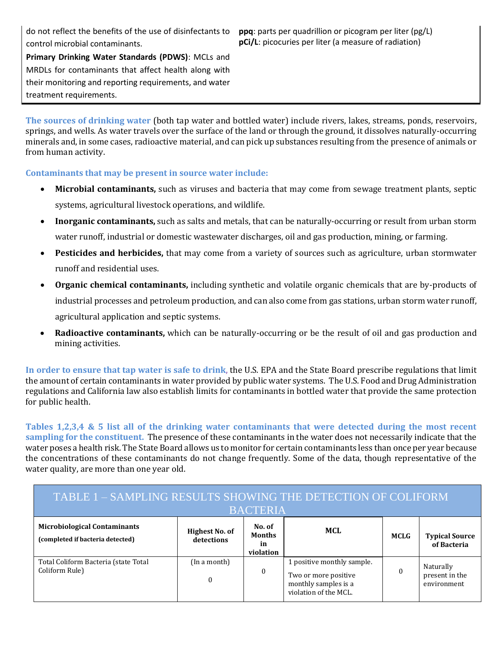do not reflect the benefits of the use of disinfectants to control microbial contaminants.

**ppq**: parts per quadrillion or picogram per liter (pg/L) **pCi/L**: picocuries per liter (a measure of radiation)

**Primary Drinking Water Standards (PDWS)**: MCLs and MRDLs for contaminants that affect health along with their monitoring and reporting requirements, and water treatment requirements.

**The sources of drinking water** (both tap water and bottled water) include rivers, lakes, streams, ponds, reservoirs, springs, and wells. As water travels over the surface of the land or through the ground, it dissolves naturally-occurring minerals and, in some cases, radioactive material, and can pick up substances resulting from the presence of animals or from human activity.

#### **Contaminants that may be present in source water include:**

- **Microbial contaminants,** such as viruses and bacteria that may come from sewage treatment plants, septic systems, agricultural livestock operations, and wildlife.
- **Inorganic contaminants,** such as salts and metals, that can be naturally-occurring or result from urban storm water runoff, industrial or domestic wastewater discharges, oil and gas production, mining, or farming.
- **Pesticides and herbicides,** that may come from a variety of sources such as agriculture, urban stormwater runoff and residential uses.
- **Organic chemical contaminants,** including synthetic and volatile organic chemicals that are by-products of industrial processes and petroleum production, and can also come from gas stations, urban storm water runoff, agricultural application and septic systems.
- **Radioactive contaminants,** which can be naturally-occurring or be the result of oil and gas production and mining activities.

**In order to ensure that tap water is safe to drink**, the U.S. EPA and the State Board prescribe regulations that limit the amount of certain contaminants in water provided by public water systems. The U.S. Food and Drug Administration regulations and California law also establish limits for contaminants in bottled water that provide the same protection for public health.

**Tables 1,2,3,4 & 5 list all of the drinking water contaminants that were detected during the most recent sampling for the constituent.** The presence of these contaminants in the water does not necessarily indicate that the water poses a health risk. The State Board allows us to monitor for certain contaminants less than once per year because the concentrations of these contaminants do not change frequently. Some of the data, though representative of the water quality, are more than one year old.

| TABLE 1 – SAMPLING RESULTS SHOWING THE DETECTION OF COLIFORM<br><b>BACTERIA</b> |                              |             |                                                                                                     |  |                                            |  |  |  |  |
|---------------------------------------------------------------------------------|------------------------------|-------------|-----------------------------------------------------------------------------------------------------|--|--------------------------------------------|--|--|--|--|
| <b>Microbiological Contaminants</b><br>(completed if bacteria detected)         | MCL                          | <b>MCLG</b> | <b>Typical Source</b><br>of Bacteria                                                                |  |                                            |  |  |  |  |
| Total Coliform Bacteria (state Total<br>Coliform Rule)                          | (In a month)<br>$\mathbf{0}$ | 0           | 1 positive monthly sample.<br>Two or more positive<br>monthly samples is a<br>violation of the MCL. |  | Naturally<br>present in the<br>environment |  |  |  |  |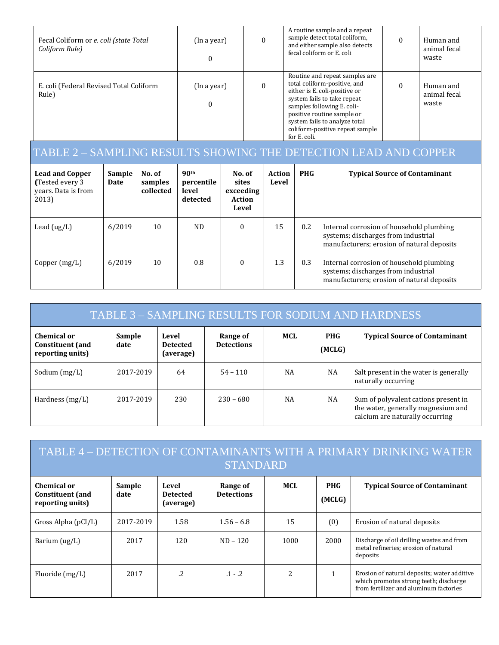| Fecal Coliform or e. coli (state Total<br>Coliform Rule) | (In a year)                  | $\theta$ | A routine sample and a repeat<br>sample detect total coliform,<br>and either sample also detects<br>fecal coliform or E. coli                                                                                                                                                  | Human and<br>animal fecal<br>waste |
|----------------------------------------------------------|------------------------------|----------|--------------------------------------------------------------------------------------------------------------------------------------------------------------------------------------------------------------------------------------------------------------------------------|------------------------------------|
| E. coli (Federal Revised Total Coliform<br>Rule)         | $\Omega$<br>(In a year)<br>0 |          | Routine and repeat samples are<br>total coliform-positive, and<br>either is E. coli-positive or<br>system fails to take repeat<br>samples following E. coli-<br>positive routine sample or<br>system fails to analyze total<br>coliform-positive repeat sample<br>for E. coli. | Human and<br>animal fecal<br>waste |

## TABLE 2 – SAMPLING RESULTS SHOWING THE DETECTION LEAD AND COPPER

| <b>Lead and Copper</b><br>(Tested every 3)<br>years. Data is from<br>2013) | Sample<br>Date | No. of<br>samples<br>collected | 90 <sup>th</sup><br>percentile<br>level<br>detected | No. of<br>sites<br>exceeding<br>Action<br>Level | Action<br>Level | <b>PHG</b> | <b>Typical Source of Contaminant</b>                                                                                          |
|----------------------------------------------------------------------------|----------------|--------------------------------|-----------------------------------------------------|-------------------------------------------------|-----------------|------------|-------------------------------------------------------------------------------------------------------------------------------|
| Lead $(ug/L)$                                                              | 6/2019         | 10                             | ND.                                                 | $\Omega$                                        | 15              | $0.2\,$    | Internal corrosion of household plumbing<br>systems; discharges from industrial<br>manufacturers; erosion of natural deposits |
| Copper $(mg/L)$                                                            | 6/2019         | 10                             | 0.8                                                 | $\Omega$                                        | 1.3             | 0.3        | Internal corrosion of household plumbing<br>systems; discharges from industrial<br>manufacturers; erosion of natural deposits |

| TABLE 3 - SAMPLING RESULTS FOR SODIUM AND HARDNESS         |                |                                       |                               |           |                      |                                                                                                               |  |
|------------------------------------------------------------|----------------|---------------------------------------|-------------------------------|-----------|----------------------|---------------------------------------------------------------------------------------------------------------|--|
| Chemical or<br><b>Constituent</b> (and<br>reporting units) | Sample<br>date | Level<br><b>Detected</b><br>(average) | Range of<br><b>Detections</b> | MCL       | <b>PHG</b><br>(MCLG) | <b>Typical Source of Contaminant</b>                                                                          |  |
| Sodium (mg/L)                                              | 2017-2019      | 64                                    | $54 - 110$                    | NA        | <b>NA</b>            | Salt present in the water is generally<br>naturally occurring                                                 |  |
| Hardness $(mg/L)$                                          | 2017-2019      | 230                                   | $230 - 680$                   | <b>NA</b> | NA                   | Sum of polyvalent cations present in<br>the water, generally magnesium and<br>calcium are naturally occurring |  |

| TABLE 4 – DETECTION OF CONTAMINANTS WITH A PRIMARY DRINKING WATER<br><b>STANDARD</b> |                |                                       |                               |      |                      |                                                                                                                                 |  |  |
|--------------------------------------------------------------------------------------|----------------|---------------------------------------|-------------------------------|------|----------------------|---------------------------------------------------------------------------------------------------------------------------------|--|--|
| Chemical or<br><b>Constituent</b> (and<br>reporting units)                           | Sample<br>date | Level<br><b>Detected</b><br>(average) | Range of<br><b>Detections</b> | MCL  | <b>PHG</b><br>(MCLG) | <b>Typical Source of Contaminant</b>                                                                                            |  |  |
| Gross Alpha $(pCI/L)$                                                                | 2017-2019      | 1.58                                  | $1.56 - 6.8$                  | 15   | (0)                  | Erosion of natural deposits                                                                                                     |  |  |
| Barium $(ug/L)$                                                                      | 2017           | 120                                   | $ND - 120$                    | 1000 | 2000                 | Discharge of oil drilling wastes and from<br>metal refineries; erosion of natural<br>deposits                                   |  |  |
| Fluoride (mg/L)                                                                      | 2017           | $\cdot$ .2                            | $.1 - .2$                     | 2    |                      | Erosion of natural deposits; water additive<br>which promotes strong teeth; discharge<br>from fertilizer and aluminum factories |  |  |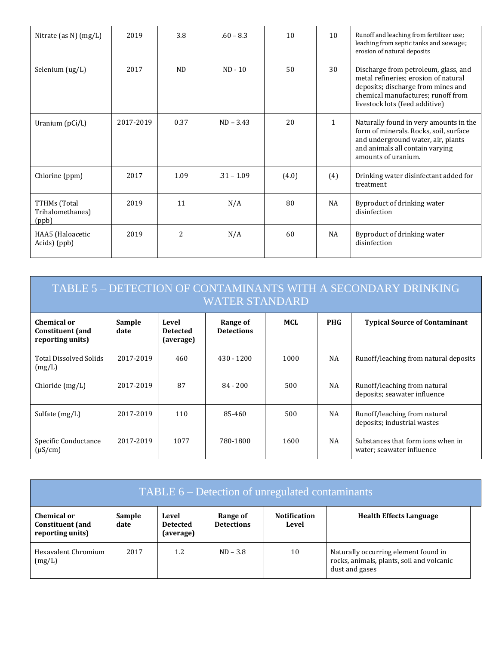| Nitrate (as N) (mg/L)                     | 2019      | 3.8            | $.60 - 8.3$  | 10    | 10           | Runoff and leaching from fertilizer use;<br>leaching from septic tanks and sewage;<br>erosion of natural deposits                                                                          |
|-------------------------------------------|-----------|----------------|--------------|-------|--------------|--------------------------------------------------------------------------------------------------------------------------------------------------------------------------------------------|
| Selenium (ug/L)                           | 2017      | N <sub>D</sub> | $ND - 10$    | 50    | 30           | Discharge from petroleum, glass, and<br>metal refineries; erosion of natural<br>deposits; discharge from mines and<br>chemical manufactures; runoff from<br>livestock lots (feed additive) |
| Uranium (pCi/L)                           | 2017-2019 | 0.37           | $ND - 3.43$  | 20    | $\mathbf{1}$ | Naturally found in very amounts in the<br>form of minerals. Rocks, soil, surface<br>and underground water, air, plants<br>and animals all contain varying<br>amounts of uranium.           |
| Chlorine (ppm)                            | 2017      | 1.09           | $.31 - 1.09$ | (4.0) | (4)          | Drinking water disinfectant added for<br>treatment                                                                                                                                         |
| TTHMs (Total<br>Trihalomethanes)<br>(ppb) | 2019      | 11             | N/A          | 80    | NA           | Byproduct of drinking water<br>disinfection                                                                                                                                                |
| HAA5 (Haloacetic<br>Acids) (ppb)          | 2019      | 2              | N/A          | 60    | <b>NA</b>    | Byproduct of drinking water<br>disinfection                                                                                                                                                |

| TABLE 5 - DETECTION OF CONTAMINANTS WITH A SECONDARY DRINKING<br><b>WATER STANDARD</b> |                |                                       |                               |      |            |                                                                |  |  |
|----------------------------------------------------------------------------------------|----------------|---------------------------------------|-------------------------------|------|------------|----------------------------------------------------------------|--|--|
| Chemical or<br><b>Constituent</b> (and<br>reporting units)                             | Sample<br>date | Level<br><b>Detected</b><br>(average) | Range of<br><b>Detections</b> | MCL  | <b>PHG</b> | <b>Typical Source of Contaminant</b>                           |  |  |
| <b>Total Dissolved Solids</b><br>(mg/L)                                                | 2017-2019      | 460                                   | $430 - 1200$                  | 1000 | NA         | Runoff/leaching from natural deposits                          |  |  |
| Chloride(mg/L)                                                                         | 2017-2019      | 87                                    | $84 - 200$                    | 500  | NA         | Runoff/leaching from natural<br>deposits; seawater influence   |  |  |
| Sulfate $(mg/L)$                                                                       | 2017-2019      | 110                                   | 85-460                        | 500  | NA.        | Runoff/leaching from natural<br>deposits; industrial wastes    |  |  |
| Specific Conductance<br>$(\mu S/cm)$                                                   | 2017-2019      | 1077                                  | 780-1800                      | 1600 | NA         | Substances that form jons when in<br>water; seawater influence |  |  |

| TABLE 6 – Detection of unregulated contaminants            |                |                                       |                               |                              |                                                                                                     |  |  |
|------------------------------------------------------------|----------------|---------------------------------------|-------------------------------|------------------------------|-----------------------------------------------------------------------------------------------------|--|--|
| Chemical or<br><b>Constituent</b> (and<br>reporting units) | Sample<br>date | Level<br><b>Detected</b><br>(average) | Range of<br><b>Detections</b> | <b>Notification</b><br>Level | <b>Health Effects Language</b>                                                                      |  |  |
| Hexavalent Chromium<br>(mg/L)                              | 2017           | 1.2                                   | $ND - 3.8$                    | 10                           | Naturally occurring element found in<br>rocks, animals, plants, soil and volcanic<br>dust and gases |  |  |